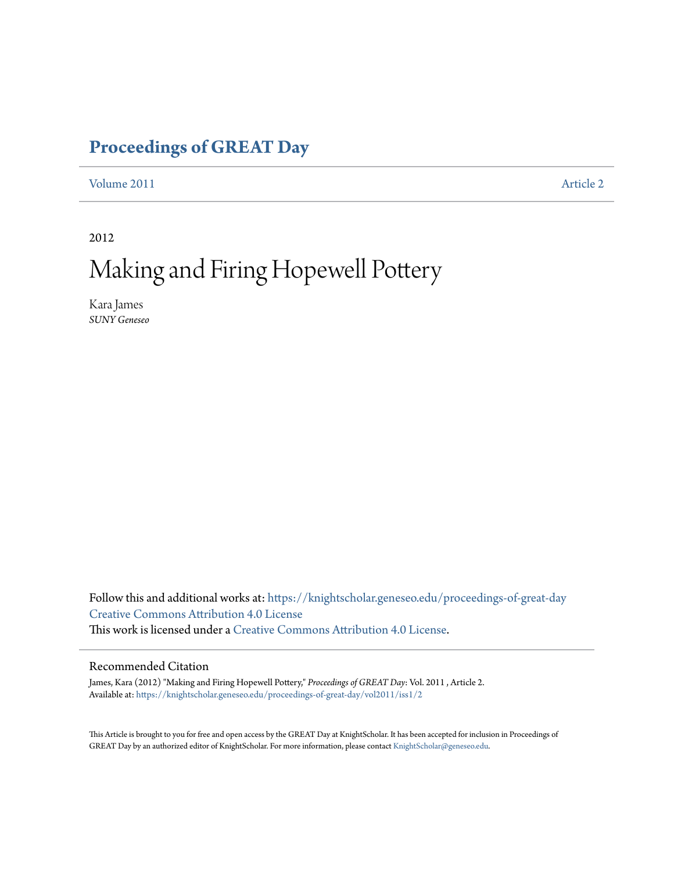# **[Proceedings of GREAT Day](https://knightscholar.geneseo.edu/proceedings-of-great-day?utm_source=knightscholar.geneseo.edu%2Fproceedings-of-great-day%2Fvol2011%2Fiss1%2F2&utm_medium=PDF&utm_campaign=PDFCoverPages)**

[Volume 2011](https://knightscholar.geneseo.edu/proceedings-of-great-day/vol2011?utm_source=knightscholar.geneseo.edu%2Fproceedings-of-great-day%2Fvol2011%2Fiss1%2F2&utm_medium=PDF&utm_campaign=PDFCoverPages) **[Article 2](https://knightscholar.geneseo.edu/proceedings-of-great-day/vol2011/iss1/2?utm_source=knightscholar.geneseo.edu%2Fproceedings-of-great-day%2Fvol2011%2Fiss1%2F2&utm_medium=PDF&utm_campaign=PDFCoverPages)** 

2012

# Making and Firing Hopewell Pottery

Kara James *SUNY Geneseo*

Follow this and additional works at: [https://knightscholar.geneseo.edu/proceedings-of-great-day](https://knightscholar.geneseo.edu/proceedings-of-great-day?utm_source=knightscholar.geneseo.edu%2Fproceedings-of-great-day%2Fvol2011%2Fiss1%2F2&utm_medium=PDF&utm_campaign=PDFCoverPages) [Creative Commons Attribution 4.0 License](http://creativecommons.org/licenses/by/4.0/) This work is licensed under a [Creative Commons Attribution 4.0 License.](http://creativecommons.org/licenses/by/4.0/)

### Recommended Citation

James, Kara (2012) "Making and Firing Hopewell Pottery," *Proceedings of GREAT Day*: Vol. 2011 , Article 2. Available at: [https://knightscholar.geneseo.edu/proceedings-of-great-day/vol2011/iss1/2](https://knightscholar.geneseo.edu/proceedings-of-great-day/vol2011/iss1/2?utm_source=knightscholar.geneseo.edu%2Fproceedings-of-great-day%2Fvol2011%2Fiss1%2F2&utm_medium=PDF&utm_campaign=PDFCoverPages)

This Article is brought to you for free and open access by the GREAT Day at KnightScholar. It has been accepted for inclusion in Proceedings of GREAT Day by an authorized editor of KnightScholar. For more information, please contact [KnightScholar@geneseo.edu.](mailto:KnightScholar@geneseo.edu)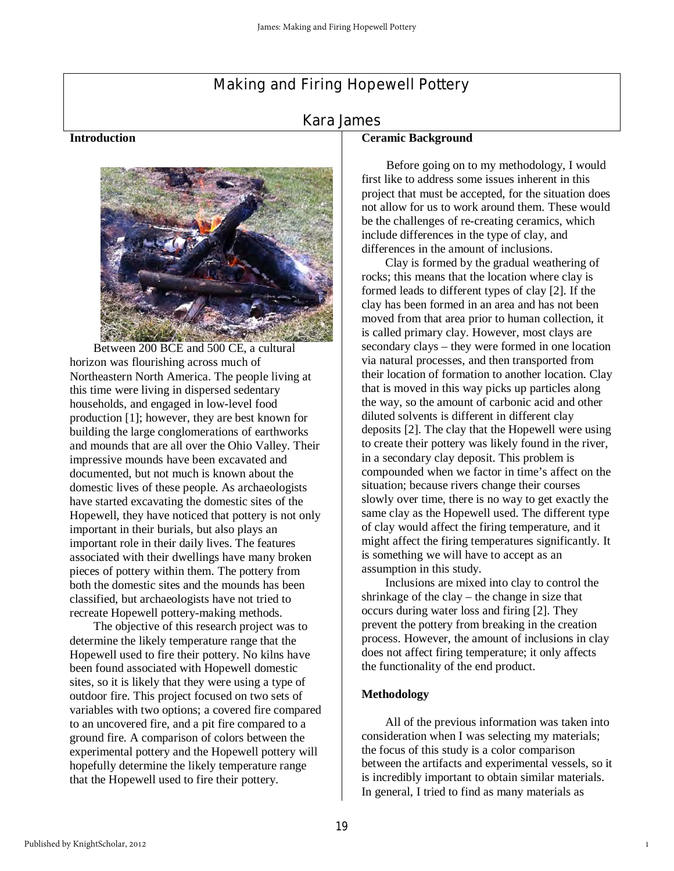# Making and Firing Hopewell Pottery

# Kara James

#### **Introduction**



 Between 200 BCE and 500 CE, a cultural horizon was flourishing across much of Northeastern North America. The people living at this time were living in dispersed sedentary households, and engaged in low-level food production [1]; however, they are best known for building the large conglomerations of earthworks and mounds that are all over the Ohio Valley. Their impressive mounds have been excavated and documented, but not much is known about the domestic lives of these people. As archaeologists have started excavating the domestic sites of the Hopewell, they have noticed that pottery is not only important in their burials, but also plays an important role in their daily lives. The features associated with their dwellings have many broken pieces of pottery within them. The pottery from both the domestic sites and the mounds has been classified, but archaeologists have not tried to recreate Hopewell pottery-making methods.

 The objective of this research project was to determine the likely temperature range that the Hopewell used to fire their pottery. No kilns have been found associated with Hopewell domestic sites, so it is likely that they were using a type of outdoor fire. This project focused on two sets of variables with two options; a covered fire compared to an uncovered fire, and a pit fire compared to a ground fire. A comparison of colors between the experimental pottery and the Hopewell pottery will hopefully determine the likely temperature range that the Hopewell used to fire their pottery.

#### **Ceramic Background**

 Before going on to my methodology, I would first like to address some issues inherent in this project that must be accepted, for the situation does not allow for us to work around them. These would be the challenges of re-creating ceramics, which include differences in the type of clay, and differences in the amount of inclusions.

 Clay is formed by the gradual weathering of rocks; this means that the location where clay is formed leads to different types of clay [2]. If the clay has been formed in an area and has not been moved from that area prior to human collection, it is called primary clay. However, most clays are secondary clays – they were formed in one location via natural processes, and then transported from their location of formation to another location. Clay that is moved in this way picks up particles along the way, so the amount of carbonic acid and other diluted solvents is different in different clay deposits [2]. The clay that the Hopewell were using to create their pottery was likely found in the river, in a secondary clay deposit. This problem is compounded when we factor in time's affect on the situation; because rivers change their courses slowly over time, there is no way to get exactly the same clay as the Hopewell used. The different type of clay would affect the firing temperature, and it might affect the firing temperatures significantly. It is something we will have to accept as an assumption in this study.

 Inclusions are mixed into clay to control the shrinkage of the clay – the change in size that occurs during water loss and firing [2]. They prevent the pottery from breaking in the creation process. However, the amount of inclusions in clay does not affect firing temperature; it only affects the functionality of the end product.

#### **Methodology**

 All of the previous information was taken into consideration when I was selecting my materials; the focus of this study is a color comparison between the artifacts and experimental vessels, so it is incredibly important to obtain similar materials. In general, I tried to find as many materials as

1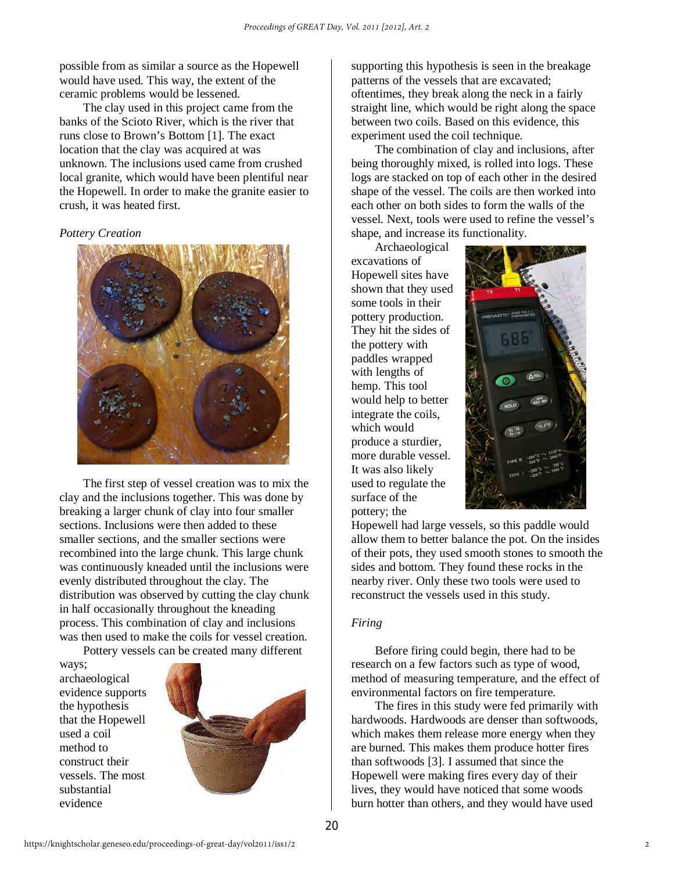possible from as similar a source as the Hopewell would have used. This way, the extent of the ceramic problems would be lessened.

 The clay used in this project came from the banks of the Scioto River, which is the river that runs close to Brown's Bottom [1]. The exact location that the clay was acquired at was unknown. The inclusions used came from crushed local granite, which would have been plentiful near the Hopewell. In order to make the granite easier to crush, it was heated first.

#### *Pottery Creation*



The first step of vessel creation was to mix the clay and the inclusions together. This was done by breaking a larger chunk of clay into four smaller sections. Inclusions were then added to these smaller sections, and the smaller sections were recombined into the large chunk. This large chunk was continuously kneaded until the inclusions were evenly distributed throughout the clay. The distribution was observed by cutting the clay chunk in half occasionally throughout the kneading process. This combination of clay and inclusions was then used to make the coils for vessel creation.

 Pottery vessels can be created many different ways;

archaeological evidence supports the hypothesis that the Hopewell used a coil method to construct their vessels. The most substantial evidence



supporting this hypothesis is seen in the breakage patterns of the vessels that are excavated; oftentimes, they break along the neck in a fairly straight line, which would be right along the space between two coils. Based on this evidence, this experiment used the coil technique.

 The combination of clay and inclusions, after being thoroughly mixed, is rolled into logs. These logs are stacked on top of each other in the desired shape of the vessel. The coils are then worked into each other on both sides to form the walls of the vessel. Next, tools were used to refine the vessel's shape, and increase its functionality.

Archaeological excavations of Hopewell sites have shown that they used some tools in their pottery production. They hit the sides of the pottery with paddles wrapped with lengths of hemp. This tool would help to better integrate the coils, which would produce a sturdier, more durable vessel. It was also likely used to regulate the surface of the pottery; the



Hopewell had large vessels, so this paddle would allow them to better balance the pot. On the insides of their pots, they used smooth stones to smooth the sides and bottom. They found these rocks in the nearby river. Only these two tools were used to reconstruct the vessels used in this study.

#### *Firing*

Before firing could begin, there had to be research on a few factors such as type of wood, method of measuring temperature, and the effect of environmental factors on fire temperature.

 The fires in this study were fed primarily with hardwoods. Hardwoods are denser than softwoods, which makes them release more energy when they are burned. This makes them produce hotter fires than softwoods [3]. I assumed that since the Hopewell were making fires every day of their lives, they would have noticed that some woods burn hotter than others, and they would have used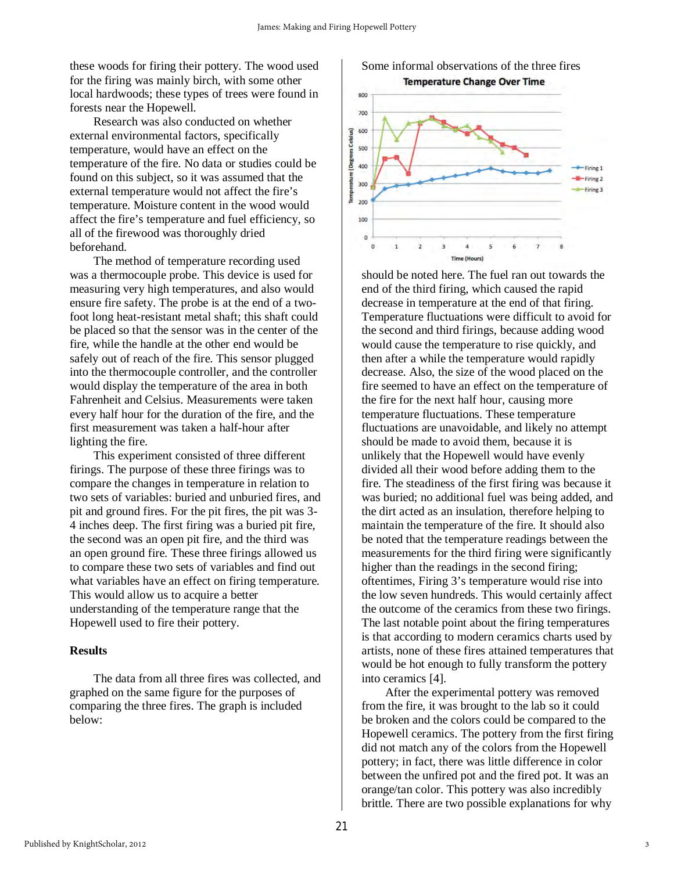these woods for firing their pottery. The wood used for the firing was mainly birch, with some other local hardwoods; these types of trees were found in forests near the Hopewell.

 Research was also conducted on whether external environmental factors, specifically temperature, would have an effect on the temperature of the fire. No data or studies could be found on this subject, so it was assumed that the external temperature would not affect the fire's temperature. Moisture content in the wood would affect the fire's temperature and fuel efficiency, so all of the firewood was thoroughly dried beforehand.

 The method of temperature recording used was a thermocouple probe. This device is used for measuring very high temperatures, and also would ensure fire safety. The probe is at the end of a twofoot long heat-resistant metal shaft; this shaft could be placed so that the sensor was in the center of the fire, while the handle at the other end would be safely out of reach of the fire. This sensor plugged into the thermocouple controller, and the controller would display the temperature of the area in both Fahrenheit and Celsius. Measurements were taken every half hour for the duration of the fire, and the first measurement was taken a half-hour after lighting the fire.

This experiment consisted of three different firings. The purpose of these three firings was to compare the changes in temperature in relation to two sets of variables: buried and unburied fires, and pit and ground fires. For the pit fires, the pit was 3- 4 inches deep. The first firing was a buried pit fire, the second was an open pit fire, and the third was an open ground fire. These three firings allowed us to compare these two sets of variables and find out what variables have an effect on firing temperature. This would allow us to acquire a better understanding of the temperature range that the Hopewell used to fire their pottery.

#### **Results**

 The data from all three fires was collected, and graphed on the same figure for the purposes of comparing the three fires. The graph is included below:

Some informal observations of the three fires **Temperature Change Over Time** 



should be noted here. The fuel ran out towards the end of the third firing, which caused the rapid decrease in temperature at the end of that firing. Temperature fluctuations were difficult to avoid for the second and third firings, because adding wood would cause the temperature to rise quickly, and then after a while the temperature would rapidly decrease. Also, the size of the wood placed on the fire seemed to have an effect on the temperature of the fire for the next half hour, causing more temperature fluctuations. These temperature fluctuations are unavoidable, and likely no attempt should be made to avoid them, because it is unlikely that the Hopewell would have evenly divided all their wood before adding them to the fire. The steadiness of the first firing was because it was buried; no additional fuel was being added, and the dirt acted as an insulation, therefore helping to maintain the temperature of the fire. It should also be noted that the temperature readings between the measurements for the third firing were significantly higher than the readings in the second firing; oftentimes, Firing 3's temperature would rise into the low seven hundreds. This would certainly affect the outcome of the ceramics from these two firings. The last notable point about the firing temperatures is that according to modern ceramics charts used by artists, none of these fires attained temperatures that would be hot enough to fully transform the pottery into ceramics [4].

 After the experimental pottery was removed from the fire, it was brought to the lab so it could be broken and the colors could be compared to the Hopewell ceramics. The pottery from the first firing did not match any of the colors from the Hopewell pottery; in fact, there was little difference in color between the unfired pot and the fired pot. It was an orange/tan color. This pottery was also incredibly brittle. There are two possible explanations for why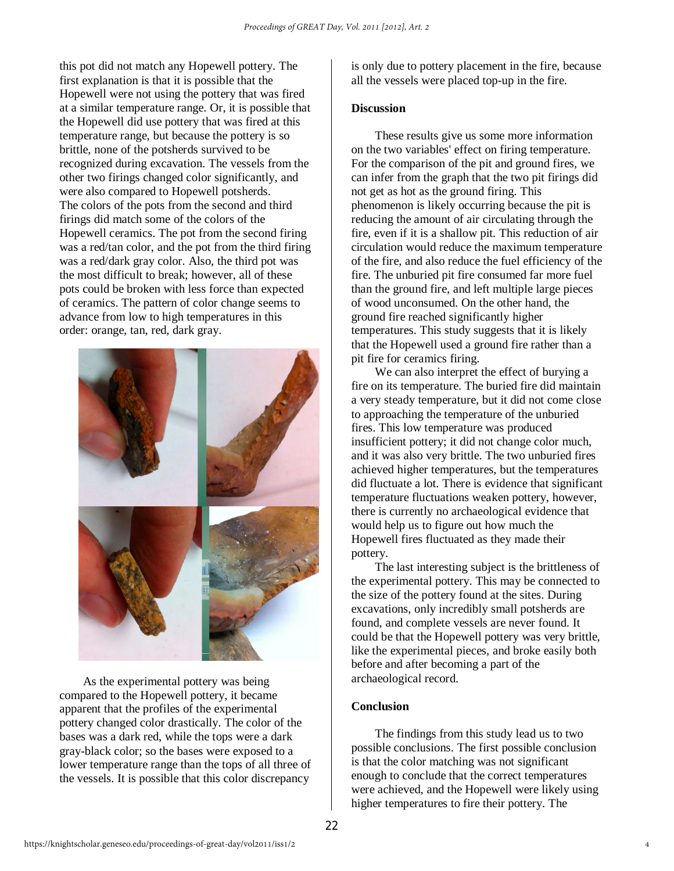this pot did not match any Hopewell pottery. The first explanation is that it is possible that the Hopewell were not using the pottery that was fired at a similar temperature range. Or, it is possible that the Hopewell did use pottery that was fired at this temperature range, but because the pottery is so brittle, none of the potsherds survived to be recognized during excavation. The vessels from the other two firings changed color significantly, and were also compared to Hopewell potsherds. The colors of the pots from the second and third firings did match some of the colors of the Hopewell ceramics. The pot from the second firing was a red/tan color, and the pot from the third firing was a red/dark gray color. Also, the third pot was the most difficult to break; however, all of these pots could be broken with less force than expected of ceramics. The pattern of color change seems to advance from low to high temperatures in this order: orange, tan, red, dark gray.



As the experimental pottery was being compared to the Hopewell pottery, it became apparent that the profiles of the experimental pottery changed color drastically. The color of the bases was a dark red, while the tops were a dark gray-black color; so the bases were exposed to a lower temperature range than the tops of all three of the vessels. It is possible that this color discrepancy

is only due to pottery placement in the fire, because all the vessels were placed top-up in the fire.

# **Discussion**

These results give us some more information on the two variables' effect on firing temperature. For the comparison of the pit and ground fires, we can infer from the graph that the two pit firings did not get as hot as the ground firing. This phenomenon is likely occurring because the pit is reducing the amount of air circulating through the fire, even if it is a shallow pit. This reduction of air circulation would reduce the maximum temperature of the fire, and also reduce the fuel efficiency of the fire. The unburied pit fire consumed far more fuel than the ground fire, and left multiple large pieces of wood unconsumed. On the other hand, the ground fire reached significantly higher temperatures. This study suggests that it is likely that the Hopewell used a ground fire rather than a pit fire for ceramics firing.

We can also interpret the effect of burying a fire on its temperature. The buried fire did maintain a very steady temperature, but it did not come close to approaching the temperature of the unburied fires. This low temperature was produced insufficient pottery; it did not change color much, and it was also very brittle. The two unburied fires achieved higher temperatures, but the temperatures did fluctuate a lot. There is evidence that significant temperature fluctuations weaken pottery, however, there is currently no archaeological evidence that would help us to figure out how much the Hopewell fires fluctuated as they made their pottery.

The last interesting subject is the brittleness of the experimental pottery. This may be connected to the size of the pottery found at the sites. During excavations, only incredibly small potsherds are found, and complete vessels are never found. It could be that the Hopewell pottery was very brittle, like the experimental pieces, and broke easily both before and after becoming a part of the archaeological record.

# **Conclusion**

 The findings from this study lead us to two possible conclusions. The first possible conclusion is that the color matching was not significant enough to conclude that the correct temperatures were achieved, and the Hopewell were likely using higher temperatures to fire their pottery. The